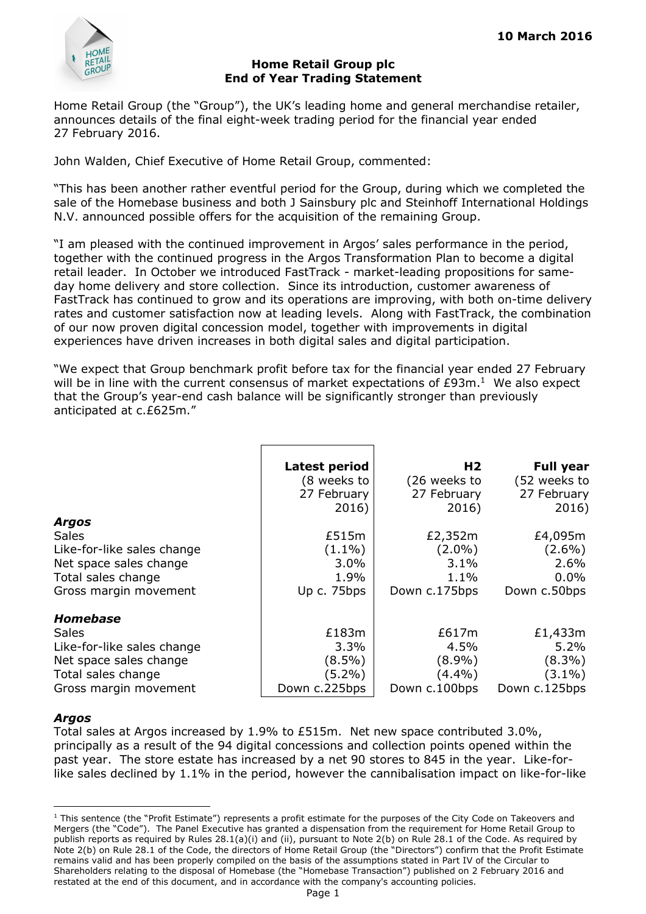

### **Home Retail Group plc End of Year Trading Statement**

Home Retail Group (the "Group"), the UK's leading home and general merchandise retailer, announces details of the final eight-week trading period for the financial year ended 27 February 2016.

John Walden, Chief Executive of Home Retail Group, commented:

"This has been another rather eventful period for the Group, during which we completed the sale of the Homebase business and both J Sainsbury plc and Steinhoff International Holdings N.V. announced possible offers for the acquisition of the remaining Group.

"I am pleased with the continued improvement in Argos' sales performance in the period, together with the continued progress in the Argos Transformation Plan to become a digital retail leader. In October we introduced FastTrack - market-leading propositions for sameday home delivery and store collection. Since its introduction, customer awareness of FastTrack has continued to grow and its operations are improving, with both on-time delivery rates and customer satisfaction now at leading levels. Along with FastTrack, the combination of our now proven digital concession model, together with improvements in digital experiences have driven increases in both digital sales and digital participation.

"We expect that Group benchmark profit before tax for the financial year ended 27 February will be in line with the current consensus of market expectations of  $E93m<sup>1</sup>$ . We also expect that the Group's year-end cash balance will be significantly stronger than previously anticipated at c.£625m."

|                            | Latest period<br>(8 weeks to<br>27 February<br>2016) | H <sub>2</sub><br>(26 weeks to<br>27 February<br>2016) | <b>Full year</b><br>(52 weeks to<br>27 February<br>2016) |
|----------------------------|------------------------------------------------------|--------------------------------------------------------|----------------------------------------------------------|
| <b>Argos</b>               |                                                      |                                                        |                                                          |
| <b>Sales</b>               | £515m                                                | £2,352m                                                | £4,095m                                                  |
| Like-for-like sales change | $(1.1\%)$                                            | $(2.0\%)$                                              | $(2.6\%)$                                                |
| Net space sales change     | 3.0%                                                 | 3.1%                                                   | 2.6%                                                     |
| Total sales change         | 1.9%                                                 | $1.1\%$                                                | $0.0\%$                                                  |
| Gross margin movement      | Up c. 75bps                                          | Down c.175bps                                          | Down c.50bps                                             |
| <b>Homebase</b>            |                                                      |                                                        |                                                          |
| <b>Sales</b>               | £183m                                                | £617m                                                  | £1,433m                                                  |
| Like-for-like sales change | 3.3%                                                 | 4.5%                                                   | 5.2%                                                     |
| Net space sales change     | $(8.5\%)$                                            | $(8.9\%)$                                              | $(8.3\%)$                                                |
| Total sales change         | $(5.2\%)$                                            | $(4.4\%)$                                              | $(3.1\%)$                                                |
| Gross margin movement      | Down c.225bps                                        | Down c.100bps                                          | Down c.125bps                                            |

## *Argos*

-

Total sales at Argos increased by 1.9% to £515m. Net new space contributed 3.0%, principally as a result of the 94 digital concessions and collection points opened within the past year. The store estate has increased by a net 90 stores to 845 in the year. Like-forlike sales declined by 1.1% in the period, however the cannibalisation impact on like-for-like

<sup>&</sup>lt;sup>1</sup> This sentence (the "Profit Estimate") represents a profit estimate for the purposes of the City Code on Takeovers and Mergers (the "Code"). The Panel Executive has granted a dispensation from the requirement for Home Retail Group to publish reports as required by Rules 28.1(a)(i) and (ii), pursuant to Note 2(b) on Rule 28.1 of the Code. As required by Note 2(b) on Rule 28.1 of the Code, the directors of Home Retail Group (the "Directors") confirm that the Profit Estimate remains valid and has been properly compiled on the basis of the assumptions stated in Part IV of the Circular to Shareholders relating to the disposal of Homebase (the "Homebase Transaction") published on 2 February 2016 and restated at the end of this document, and in accordance with the company's accounting policies.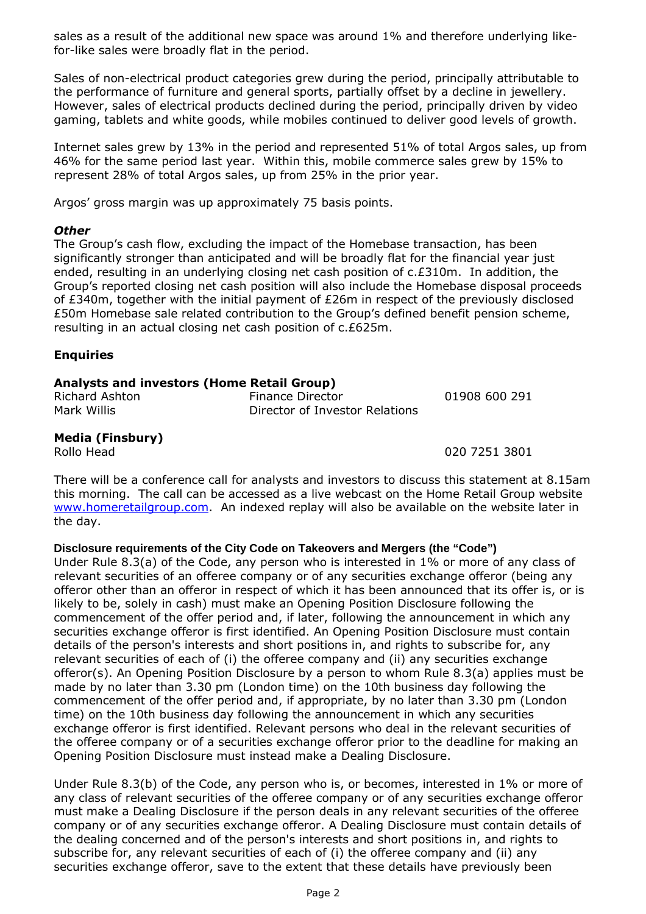sales as a result of the additional new space was around 1% and therefore underlying likefor-like sales were broadly flat in the period.

Sales of non-electrical product categories grew during the period, principally attributable to the performance of furniture and general sports, partially offset by a decline in jewellery. However, sales of electrical products declined during the period, principally driven by video gaming, tablets and white goods, while mobiles continued to deliver good levels of growth.

Internet sales grew by 13% in the period and represented 51% of total Argos sales, up from 46% for the same period last year. Within this, mobile commerce sales grew by 15% to represent 28% of total Argos sales, up from 25% in the prior year.

Argos' gross margin was up approximately 75 basis points.

### *Other*

The Group's cash flow, excluding the impact of the Homebase transaction, has been significantly stronger than anticipated and will be broadly flat for the financial year just ended, resulting in an underlying closing net cash position of c.£310m. In addition, the Group's reported closing net cash position will also include the Homebase disposal proceeds of £340m, together with the initial payment of £26m in respect of the previously disclosed £50m Homebase sale related contribution to the Group's defined benefit pension scheme, resulting in an actual closing net cash position of c.£625m.

## **Enquiries**

# **Analysts and investors (Home Retail Group)**

| Richard Ashton | Finance Director               |  |
|----------------|--------------------------------|--|
| Mark Willis    | Director of Investor Relations |  |

Rig08 600 291

**Media (Finsbury)** 

Rollo Head 020 7251 3801

There will be a conference call for analysts and investors to discuss this statement at 8.15am this morning. The call can be accessed as a live webcast on the Home Retail Group website www.homeretailgroup.com. An indexed replay will also be available on the website later in the day.

## **Disclosure requirements of the City Code on Takeovers and Mergers (the "Code")**

Under Rule 8.3(a) of the Code, any person who is interested in 1% or more of any class of relevant securities of an offeree company or of any securities exchange offeror (being any offeror other than an offeror in respect of which it has been announced that its offer is, or is likely to be, solely in cash) must make an Opening Position Disclosure following the commencement of the offer period and, if later, following the announcement in which any securities exchange offeror is first identified. An Opening Position Disclosure must contain details of the person's interests and short positions in, and rights to subscribe for, any relevant securities of each of (i) the offeree company and (ii) any securities exchange offeror(s). An Opening Position Disclosure by a person to whom Rule 8.3(a) applies must be made by no later than 3.30 pm (London time) on the 10th business day following the commencement of the offer period and, if appropriate, by no later than 3.30 pm (London time) on the 10th business day following the announcement in which any securities exchange offeror is first identified. Relevant persons who deal in the relevant securities of the offeree company or of a securities exchange offeror prior to the deadline for making an Opening Position Disclosure must instead make a Dealing Disclosure.

Under Rule 8.3(b) of the Code, any person who is, or becomes, interested in 1% or more of any class of relevant securities of the offeree company or of any securities exchange offeror must make a Dealing Disclosure if the person deals in any relevant securities of the offeree company or of any securities exchange offeror. A Dealing Disclosure must contain details of the dealing concerned and of the person's interests and short positions in, and rights to subscribe for, any relevant securities of each of (i) the offeree company and (ii) any securities exchange offeror, save to the extent that these details have previously been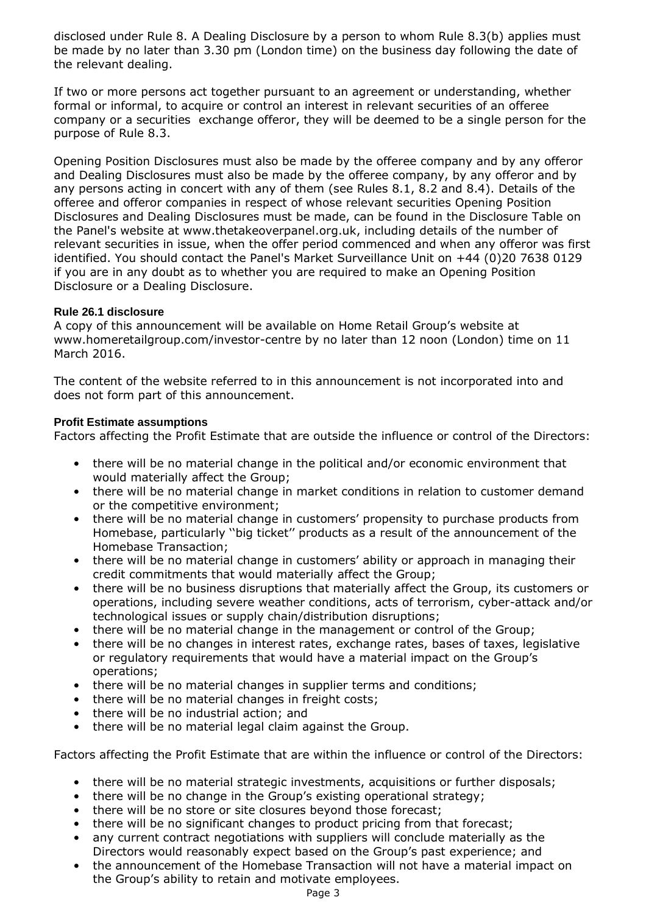disclosed under Rule 8. A Dealing Disclosure by a person to whom Rule 8.3(b) applies must be made by no later than 3.30 pm (London time) on the business day following the date of the relevant dealing.

If two or more persons act together pursuant to an agreement or understanding, whether formal or informal, to acquire or control an interest in relevant securities of an offeree company or a securities exchange offeror, they will be deemed to be a single person for the purpose of Rule 8.3.

Opening Position Disclosures must also be made by the offeree company and by any offeror and Dealing Disclosures must also be made by the offeree company, by any offeror and by any persons acting in concert with any of them (see Rules 8.1, 8.2 and 8.4). Details of the offeree and offeror companies in respect of whose relevant securities Opening Position Disclosures and Dealing Disclosures must be made, can be found in the Disclosure Table on the Panel's website at www.thetakeoverpanel.org.uk, including details of the number of relevant securities in issue, when the offer period commenced and when any offeror was first identified. You should contact the Panel's Market Surveillance Unit on +44 (0)20 7638 0129 if you are in any doubt as to whether you are required to make an Opening Position Disclosure or a Dealing Disclosure.

## **Rule 26.1 disclosure**

A copy of this announcement will be available on Home Retail Group's website at www.homeretailgroup.com/investor-centre by no later than 12 noon (London) time on 11 March 2016.

The content of the website referred to in this announcement is not incorporated into and does not form part of this announcement.

## **Profit Estimate assumptions**

Factors affecting the Profit Estimate that are outside the influence or control of the Directors:

- there will be no material change in the political and/or economic environment that would materially affect the Group;
- there will be no material change in market conditions in relation to customer demand or the competitive environment;
- there will be no material change in customers' propensity to purchase products from Homebase, particularly ''big ticket'' products as a result of the announcement of the Homebase Transaction;
- there will be no material change in customers' ability or approach in managing their credit commitments that would materially affect the Group;
- there will be no business disruptions that materially affect the Group, its customers or operations, including severe weather conditions, acts of terrorism, cyber-attack and/or technological issues or supply chain/distribution disruptions;
- there will be no material change in the management or control of the Group;
- there will be no changes in interest rates, exchange rates, bases of taxes, legislative or regulatory requirements that would have a material impact on the Group's operations;
- there will be no material changes in supplier terms and conditions;
- there will be no material changes in freight costs;
- there will be no industrial action; and
- there will be no material legal claim against the Group.

Factors affecting the Profit Estimate that are within the influence or control of the Directors:

- there will be no material strategic investments, acquisitions or further disposals;
- there will be no change in the Group's existing operational strategy;
- there will be no store or site closures beyond those forecast;
- there will be no significant changes to product pricing from that forecast;
- any current contract negotiations with suppliers will conclude materially as the Directors would reasonably expect based on the Group's past experience; and
- the announcement of the Homebase Transaction will not have a material impact on the Group's ability to retain and motivate employees.